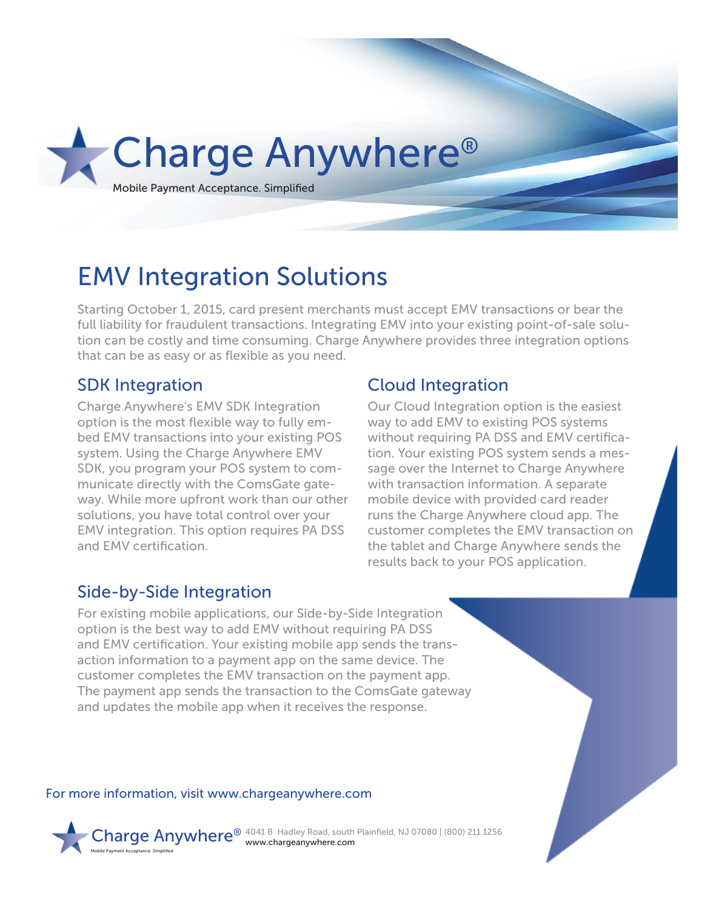

# EMV Integration Solutions

Starting October 1, 2015, card present merchants must accept EMV transactions or bear the full liability for fraudulent transactions. Integrating EMV into your existing point-of-sale solution can be costly and time consuming. Charge Anywhere provides three integration options that can be as easy or as flexible as you need.

#### SDK Integration

Charge Anywhere's EMV SDK Integration option is the most flexible way to fully embed EMV transactions into your existing POS system. Using the Charge Anywhere EMV SDK, you program your POS system to communicate directly with the ComsGate gateway. While more upfront work than our other solutions, you have total control over your EMV integration. This option requires PA DSS and EMV certification.

### Cloud Integration

Our Cloud Integration option is the easiest way to add EMV to existing POS systems without requiring PA DSS and EMV certification. Your existing POS system sends a message over the Internet to Charge Anywhere with transaction information. A separate mobile device with provided card reader runs the Charge Anywhere cloud app. The customer completes the EMV transaction on the tablet and Charge Anywhere sends the results back to your POS application.

### Side-by-Side Integration

For existing mobile applications, our Side-by-Side Integration option is the best way to add EMV without requiring PA DSS and EMV certification. Your existing mobile app sends the transaction information to a payment app on the same device. The customer completes the EMV transaction on the payment app. The payment app sends the transaction to the ComsGate gateway and updates the mobile app when it receives the response.

For more information, visit www.chargeanywhere.com



Charge Anywhere<sup>®</sup> 4041 B Hadley Road, south Plainfield, NJ 07080 | (800) 211 1256 www.chargeanywhere.com